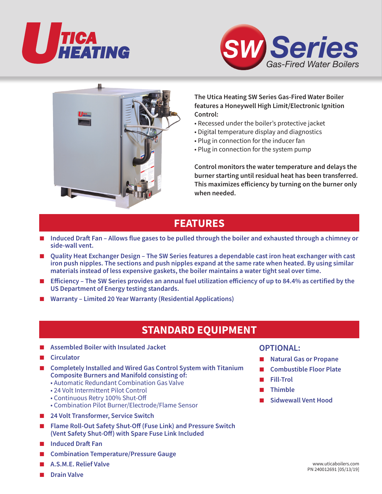





### **The Utica Heating SW Series Gas-Fired Water Boiler features a Honeywell High Limit/Electronic Ignition Control:**

- Recessed under the boiler's protective jacket
- Digital temperature display and diagnostics
- Plug in connection for the inducer fan
- Plug in connection for the system pump

**Control monitors the water temperature and delays the burner starting until residual heat has been transferred. This maximizes efficiency by turning on the burner only when needed.**

## **FEATURES**

- **Induced Draft Fan Allows flue gases to be pulled through the boiler and exhausted through a chimney or side-wall vent.**
- **Quality Heat Exchanger Design The SW Series features a dependable cast iron heat exchanger with cast iron push nipples. The sections and push nipples expand at the same rate when heated. By using similar materials instead of less expensive gaskets, the boiler maintains a water tight seal over time.**
- **Efficiency** The SW Series provides an annual fuel utilization efficiency of up to 84.4% as certified by the **US Department of Energy testing standards.**
- Warranty Limited 20 Year Warranty (Residential Applications)

# **STANDARD EQUIPMENT**

- **Assembled Boiler with Insulated Jacket**
- **Circulator**
- **Completely Installed and Wired Gas Control System with Titanium Composite Burners and Manifold consisting of:**
	- Automatic Redundant Combination Gas Valve
	- 24 Volt Intermittent Pilot Control
	- Continuous Retry 100% Shut-Off
	- Combination Pilot Burner/Electrode/Flame Sensor
- **24 Volt Transformer, Service Switch**
- **Flame Roll-Out Safety Shut-Off (Fuse Link) and Pressure Switch (Vent Safety Shut-Off) with Spare Fuse Link Included**
- **Induced Draft Fan**
- **Combination Temperature/Pressure Gauge**
- **A.S.M.E. Relief Valve**
- **Drain Valve**

### **OPTIONAL:**

- **Natural Gas or Propane**
- **Combustible Floor Plate**
- **Fill-Trol**
- **Thimble**
- **Sidwewall Vent Hood**